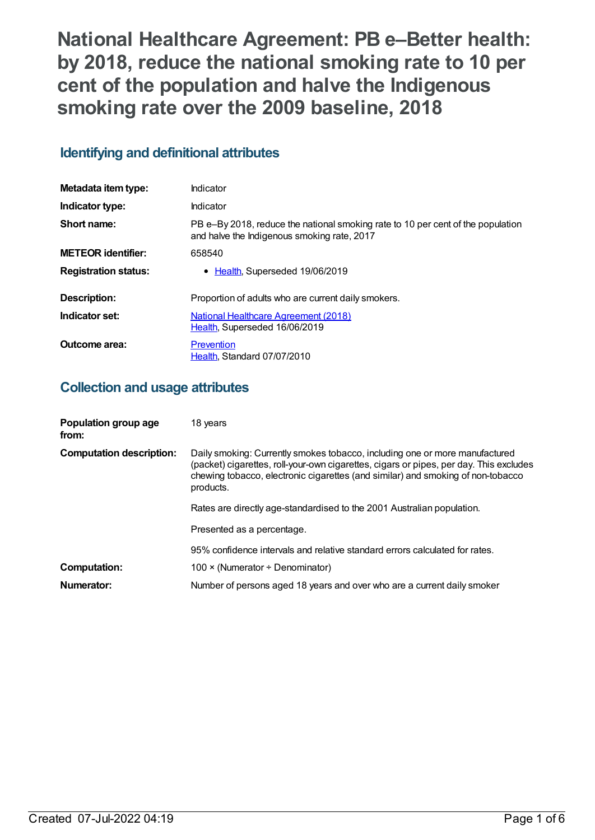**National Healthcare Agreement: PB e–Better health: by 2018, reduce the national smoking rate to 10 per cent of the population and halve the Indigenous smoking rate over the 2009 baseline, 2018**

# **Identifying and definitional attributes**

| Metadata item type:         | Indicator                                                                                                                      |
|-----------------------------|--------------------------------------------------------------------------------------------------------------------------------|
| Indicator type:             | Indicator                                                                                                                      |
| Short name:                 | PB e-By 2018, reduce the national smoking rate to 10 per cent of the population<br>and halve the Indigenous smoking rate, 2017 |
| <b>METEOR identifier:</b>   | 658540                                                                                                                         |
| <b>Registration status:</b> | • Health, Superseded 19/06/2019                                                                                                |
| Description:                | Proportion of adults who are current daily smokers.                                                                            |
| Indicator set:              | National Healthcare Agreement (2018)<br>Health, Superseded 16/06/2019                                                          |
| Outcome area:               | Prevention<br>Health, Standard 07/07/2010                                                                                      |

# **Collection and usage attributes**

| Population group age<br>from:   | 18 years                                                                                                                                                                                                                                                              |
|---------------------------------|-----------------------------------------------------------------------------------------------------------------------------------------------------------------------------------------------------------------------------------------------------------------------|
| <b>Computation description:</b> | Daily smoking: Currently smokes tobacco, including one or more manufactured<br>(packet) cigarettes, roll-your-own cigarettes, cigars or pipes, per day. This excludes<br>chewing tobacco, electronic cigarettes (and similar) and smoking of non-tobacco<br>products. |
|                                 | Rates are directly age-standardised to the 2001 Australian population.                                                                                                                                                                                                |
|                                 | Presented as a percentage.                                                                                                                                                                                                                                            |
|                                 | 95% confidence intervals and relative standard errors calculated for rates.                                                                                                                                                                                           |
| <b>Computation:</b>             | 100 $\times$ (Numerator ÷ Denominator)                                                                                                                                                                                                                                |
| Numerator:                      | Number of persons aged 18 years and over who are a current daily smoker                                                                                                                                                                                               |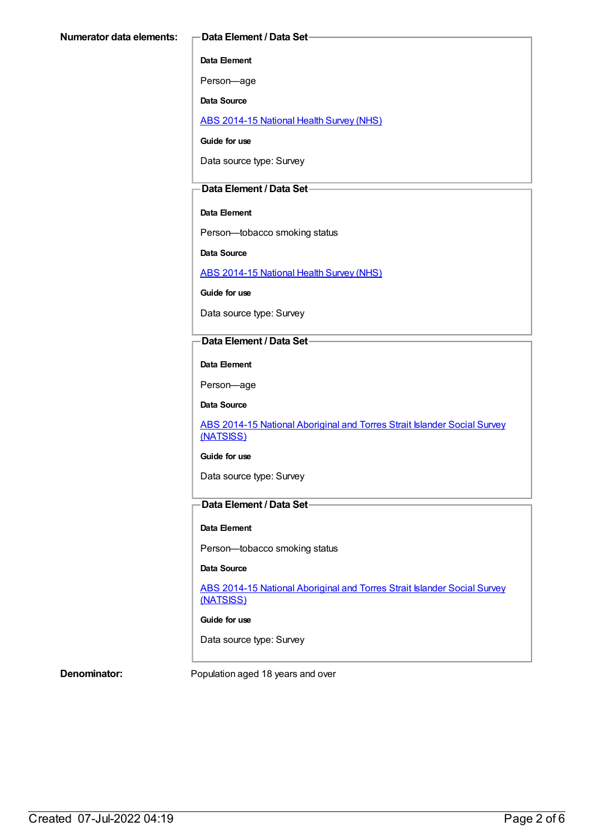### **Data Element**

Person—age

**Data Source**

ABS [2014-15](https://meteor.aihw.gov.au/content/644695) National Health Survey (NHS)

**Guide for use**

Data source type: Survey

### **Data Element / Data Set**

#### **Data Element**

Person—tobacco smoking status

**Data Source**

ABS [2014-15](https://meteor.aihw.gov.au/content/644695) National Health Survey (NHS)

**Guide for use**

Data source type: Survey

### **Data Element / Data Set**

**Data Element**

Person—age

**Data Source**

ABS 2014-15 National [Aboriginal](https://meteor.aihw.gov.au/content/644707) and Torres Strait Islander Social Survey (NATSISS)

#### **Guide for use**

Data source type: Survey

## **Data Element / Data Set**

#### **Data Element**

Person—tobacco smoking status

#### **Data Source**

ABS 2014-15 National [Aboriginal](https://meteor.aihw.gov.au/content/644707) and Torres Strait Islander Social Survey (NATSISS)

**Guide for use**

Data source type: Survey

**Denominator:** Population aged 18 years and over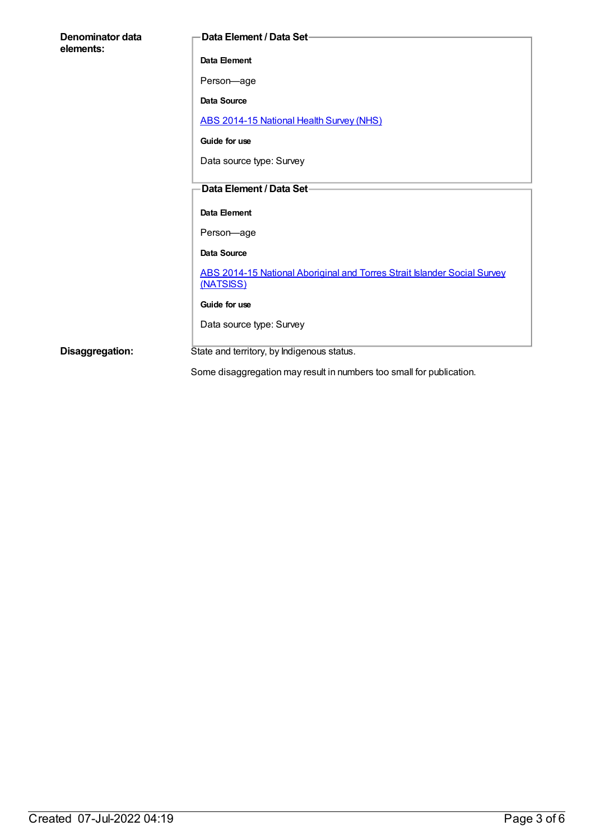| Denominator data<br>elements: | Data Element / Data Set-                                                              |
|-------------------------------|---------------------------------------------------------------------------------------|
|                               | Data Element                                                                          |
|                               | Person-age                                                                            |
|                               | Data Source                                                                           |
|                               | ABS 2014-15 National Health Survey (NHS)                                              |
|                               | Guide for use                                                                         |
|                               | Data source type: Survey                                                              |
|                               | Data Element / Data Set-                                                              |
|                               |                                                                                       |
|                               | Data Element                                                                          |
|                               | Person-age                                                                            |
|                               | <b>Data Source</b>                                                                    |
|                               | ABS 2014-15 National Aboriginal and Torres Strait Islander Social Survey<br>(NATSISS) |
|                               | Guide for use                                                                         |
|                               | Data source type: Survey                                                              |
| Disaggregation:               | State and territory, by Indigenous status.                                            |

Some disaggregation may result in numbers too small for publication.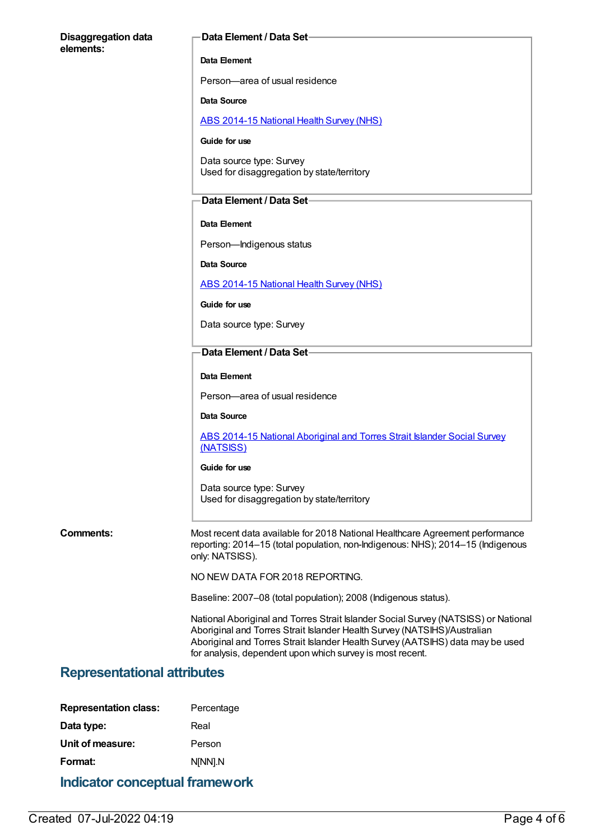### **Disaggregation data elements:**

#### **Data Element / Data Set**

#### **Data Element**

Person—area of usual residence

#### **Data Source**

ABS [2014-15](https://meteor.aihw.gov.au/content/644695) National Health Survey (NHS)

### **Guide for use**

Data source type: Survey Used for disaggregation by state/territory

#### **Data Element / Data Set**

#### **Data Element**

Person—Indigenous status

**Data Source**

ABS [2014-15](https://meteor.aihw.gov.au/content/644695) National Health Survey (NHS)

**Guide for use**

Data source type: Survey

#### **Data Element / Data Set**

#### **Data Element**

Person—area of usual residence

#### **Data Source**

ABS 2014-15 National [Aboriginal](https://meteor.aihw.gov.au/content/644707) and Torres Strait Islander Social Survey (NATSISS)

#### **Guide for use**

Data source type: Survey Used for disaggregation by state/territory

**Comments:** Most recent data available for 2018 National Healthcare Agreement performance reporting: 2014–15 (total population, non-Indigenous: NHS); 2014–15 (Indigenous only: NATSISS).

NO NEW DATA FOR 2018 REPORTING.

Baseline: 2007–08 (total population); 2008 (Indigenous status).

National Aboriginal and Torres Strait Islander Social Survey (NATSISS) or National Aboriginal and Torres Strait Islander Health Survey (NATSIHS)/Australian Aboriginal and Torres Strait Islander Health Survey (AATSIHS) data may be used for analysis, dependent upon which survey is most recent.

## **Representational attributes**

| <b>Indicator conceptual framework</b> |            |  |
|---------------------------------------|------------|--|
| Format:                               | N[NN].N    |  |
| Unit of measure:                      | Person     |  |
| Data type:                            | Real       |  |
| <b>Representation class:</b>          | Percentage |  |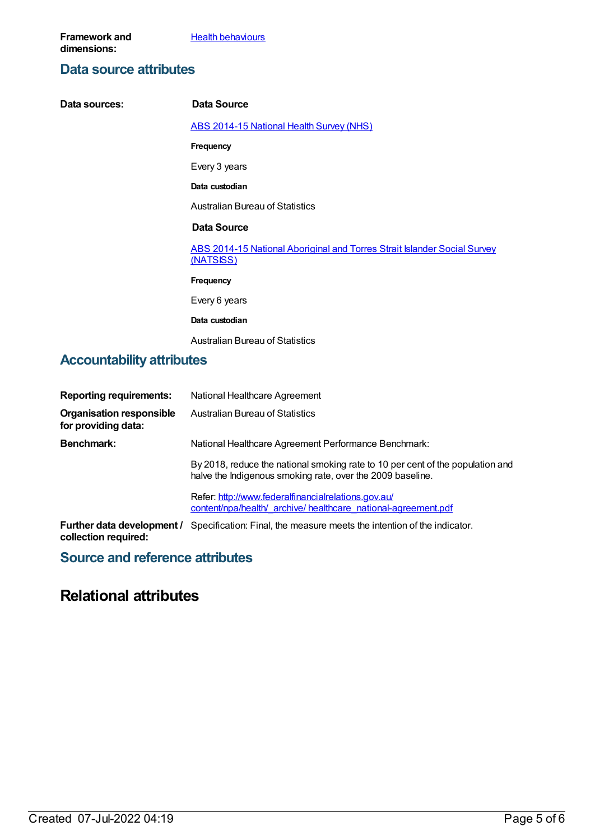**Health [behaviours](https://meteor.aihw.gov.au/content/392579)** 

## **Data source attributes**

| Data sources:                    | <b>Data Source</b>                                                                    |  |
|----------------------------------|---------------------------------------------------------------------------------------|--|
|                                  | <b>ABS 2014-15 National Health Survey (NHS)</b>                                       |  |
|                                  | <b>Frequency</b>                                                                      |  |
|                                  | Every 3 years                                                                         |  |
|                                  | Data custodian                                                                        |  |
|                                  | <b>Australian Bureau of Statistics</b>                                                |  |
|                                  | <b>Data Source</b>                                                                    |  |
|                                  | ABS 2014-15 National Aboriginal and Torres Strait Islander Social Survey<br>(NATSISS) |  |
|                                  | <b>Frequency</b>                                                                      |  |
|                                  | Every 6 years                                                                         |  |
|                                  | Data custodian                                                                        |  |
|                                  | <b>Australian Bureau of Statistics</b>                                                |  |
| <b>Accountability attributes</b> |                                                                                       |  |

## **Reporting requirements:** National Healthcare Agreement **Organisation responsible for providing data:** Australian Bureau of Statistics **Benchmark:** National Healthcare Agreement Performance Benchmark: By 2018, reduce the national smoking rate to 10 per cent of the population and halve the Indigenous smoking rate, over the 2009 baseline. Refer: [http://www.federalfinancialrelations.gov.au/](http://www.federalfinancialrelations.gov.au/content/npa/health/_archive/healthcare_national-agreement.pdf) content/npa/health/\_archive/ healthcare\_national-agreement.pdf **Further data development /** Specification: Final, the measure meets the intention of the indicator. **collection required:**

## **Source and reference attributes**

# **Relational attributes**